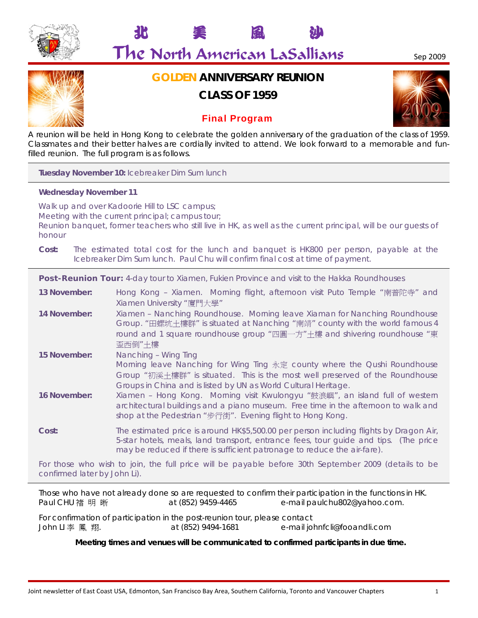

# The North American LaSallians Sep 2009

北 美 風 沙

# **GOLDEN ANNIVERSARY REUNION**

# **CLASS OF 1959**

# Final Program



A reunion will be held in Hong Kong to celebrate the golden anniversary of the graduation of the class of 1959. Classmates and their better halves are cordially invited to attend. We look forward to a memorable and funfilled reunion. The full program is as follows.

**Tuesday November 10:** Icebreaker Dim Sum lunch

### **Wednesday November 11**

Walk up and over Kadoorie Hill to LSC campus; Meeting with the current principal; campus tour; Reunion banquet, former teachers who still live in HK, as well as the current principal, will be our guests of honour

**Cost:** The estimated total cost for the lunch and banquet is HK800 per person, payable at the Icebreaker Dim Sum lunch. Paul Chu will confirm final cost at time of payment.

**Post-Reunion Tour:** 4-day tour to Xiamen, Fukien Province and visit to the Hakka Roundhouses

- **13 November:** Hong Kong Xiamen. Morning flight, afternoon visit Puto Temple "南普陀寺" and Xiamen University "廈門大學"
- **14 November:** Xiamen Nanching Roundhouse. Morning leave Xiaman for Nanching Roundhouse Group. "田螺坑土樓群" is situated at Nanching "南靖" county with the world famous 4 round and 1 square roundhouse group "四圓一方"土樓 and shivering roundhouse "東 歪西倒"土樓
- **15 November:** Nanching Wing Ting

Morning leave Nanching for Wing Ting 永定 county where the Qushi Roundhouse Group "初溪土樓群" is situated. This is the most well preserved of the Roundhouse Groups in China and is listed by UN as World Cultural Heritage.

**16 November:** Xiamen – Hong Kong. Morning visit Kwulongyu "鼓浪嶼", an island full of western architectural buildings and a piano museum. Free time in the afternoon to walk and shop at the Pedestrian "步行街". Evening flight to Hong Kong.

**Cost:** The estimated price is around HK\$5,500.00 per person including flights by Dragon Air, 5-star hotels, meals, land transport, entrance fees, tour guide and tips. (The price may be reduced if there is sufficient patronage to reduce the air-fare).

For those who wish to join, the full price will be payable before 30th September 2009 (details to be confirmed later by John Li).

Those who have not already done so are requested to confirm their participation in the functions in HK. Paul CHU 褚 明 晰 at (852) 9459-4465 e-mail paulchu802@yahoo.com.

For confirmation of participation in the post-reunion tour, please contact John LI 李 鳳 翔. at (852) 9494-1681 e-mail johnfcli@fooandli.com

**Meeting times and venues will be communicated to confirmed participants in due time.**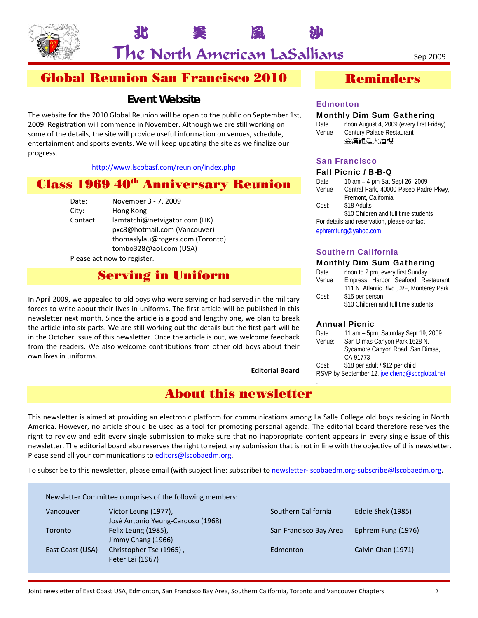

The North American LaSallians Sep 2009

北 美 風 沙

# Global Reunion San Francisco 2010

# **Event Website**

The website for the 2010 Global Reunion will be open to the public on September 1st, 2009. Registration will commence in November. Although we are still working on some of the details, the site will provide useful information on venues, schedule, entertainment and sports events. We will keep updating the site as we finalize our progress.

### http://www.lscobasf.com/reunion/index.php

# **Class 1969 40<sup>th</sup> Anniversary Reunion**

Date: November 3 ‐ 7, 2009

City: Hong Kong Contact: lamtatchi@netvigator.com (HK) pxc8@hotmail.com (Vancouver) thomaslylau@rogers.com (Toronto) tombo328@aol.com (USA)

Please act now to register.

# Serving in Uniform

In April 2009, we appealed to old boys who were serving or had served in the military forces to write about their lives in uniforms. The first article will be published in this newsletter next month. Since the article is a good and lengthy one, we plan to break the article into six parts. We are still working out the details but the first part will be in the October issue of this newsletter. Once the article is out, we welcome feedback from the readers. We also welcome contributions from other old boys about their own lives in uniforms.

**Editorial Board**

# About this newsletter

# Reminders

### **Edmonton**

### Monthly Dim Sum Gathering

Date noon August 4, 2009 (every first Friday) Venue Century Palace Restaurant 金漢龍廷大酒樓

### San Francisco

### Fall Picnic / B-B-Q

| Date  | 10 am - 4 pm Sat Sept 26, 2009              |
|-------|---------------------------------------------|
| Venue | Central Park, 40000 Paseo Padre Pkwy,       |
|       | Fremont, California                         |
| Cost: | \$18 Adults                                 |
|       | \$10 Children and full time students        |
|       | For details and reservation, please contact |
|       | ephremfung@yahoo.com.                       |

### Southern California

### Monthly Dim Sum Gathering

| Date  | noon to 2 pm, every first Sunday          |
|-------|-------------------------------------------|
| Venue | Empress Harbor Seafood Restaurant         |
|       | 111 N. Atlantic Blvd., 3/F, Monterey Park |
| Cost: | \$15 per person                           |
|       | \$10 Children and full time students      |

### Annual Picnic

| Date:  | 11 am - 5pm, Saturday Sept 19, 2009           |
|--------|-----------------------------------------------|
| Venue: | San Dimas Canyon Park 1628 N.                 |
|        | Sycamore Canyon Road, San Dimas,              |
|        | CA 91773                                      |
| Cost:  | \$18 per adult / \$12 per child               |
|        | RSVP by September 12. joe.cheng@sbcglobal.net |
|        |                                               |

This newsletter is aimed at providing an electronic platform for communications among La Salle College old boys residing in North America. However, no article should be used as a tool for promoting personal agenda. The editorial board therefore reserves the right to review and edit every single submission to make sure that no inappropriate content appears in every single issue of this newsletter. The editorial board also reserves the right to reject any submission that is not in line with the objective of this newsletter. Please send all your communications to editors@lscobaedm.org.

To subscribe to this newsletter, please email (with subject line: subscribe) to newsletter-lscobaedm.org-subscribe@lscobaedm.org.

Newsletter Committee comprises of the following members:

Vancouver Victor Leung (1977), Southern California Eddie Shek (1985) José Antonio Yeung‐Cardoso (1968) Toronto Felix Leung (1985), San Francisco Bay Area Ephrem Fung (1976) Jimmy Chang (1966) East Coast (USA) Christopher Tse (1965), Edmonton Edmonton Calvin Chan (1971) Peter Lai (1967)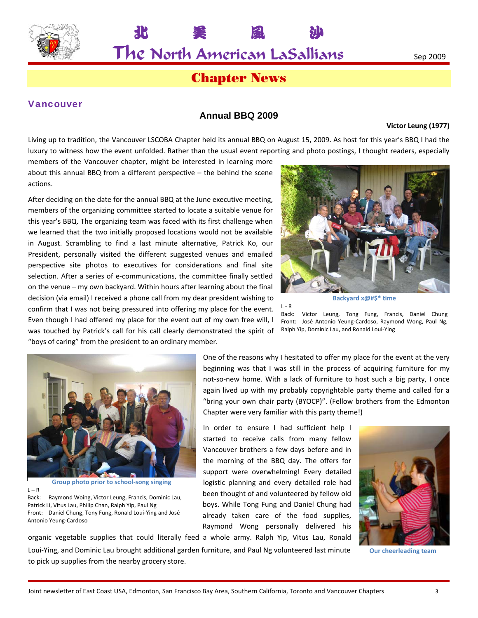

 $\mathsf{The}$  North American LaSallians  $_{\rm Sep\,2009}$ 

北 美 風 沙

# Chapter News

### Vancouver

### **Annual BBQ 2009**

#### **Victor Leung (1977)**

Living up to tradition, the Vancouver LSCOBA Chapter held its annual BBQ on August 15, 2009. As host for this year's BBQ I had the luxury to witness how the event unfolded. Rather than the usual event reporting and photo postings, I thought readers, especially

members of the Vancouver chapter, might be interested in learning more about this annual BBQ from a different perspective – the behind the scene actions.

After deciding on the date for the annual BBQ at the June executive meeting, members of the organizing committee started to locate a suitable venue for this year's BBQ. The organizing team was faced with its first challenge when we learned that the two initially proposed locations would not be available in August. Scrambling to find a last minute alternative, Patrick Ko, our President, personally visited the different suggested venues and emailed perspective site photos to executives for considerations and final site selection. After a series of e-communications, the committee finally settled on the venue – my own backyard. Within hours after learning about the final decision (via email) I received a phone call from my dear president wishing to confirm that I was not being pressured into offering my place for the event. Even though I had offered my place for the event out of my own free will, I was touched by Patrick's call for his call clearly demonstrated the spirit of "boys of caring" from the president to an ordinary member.



**Backyard x@#\$\* time**

Back: Victor Leung, Tong Fung, Francis, Daniel Chung Front: José Antonio Yeung‐Cardoso, Raymond Wong, Paul Ng, Ralph Yip, Dominic Lau, and Ronald Loui‐Ying



**Group photo prior to school‐song singing**  $L - R$ Back: Raymond Woing, Victor Leung, Francis, Dominic Lau, Patrick Li, Vitus Lau, Philip Chan, Ralph Yip, Paul Ng Front: Daniel Chung, Tony Fung, Ronald Loui‐Ying and José Antonio Yeung‐Cardoso

One of the reasons why I hesitated to offer my place for the event at the very beginning was that I was still in the process of acquiring furniture for my not-so-new home. With a lack of furniture to host such a big party, I once again lived up with my probably copyrightable party theme and called for a "bring your own chair party (BYOCP)". (Fellow brothers from the Edmonton Chapter were very familiar with this party theme!)

In order to ensure I had sufficient help I started to receive calls from many fellow Vancouver brothers a few days before and in the morning of the BBQ day. The offers for support were overwhelming! Every detailed logistic planning and every detailed role had been thought of and volunteered by fellow old boys. While Tong Fung and Daniel Chung had already taken care of the food supplies, Raymond Wong personally delivered his organic vegetable supplies that could literally feed a whole army. Ralph Yip, Vitus Lau, Ronald

 $L - R$ 



**Our cheerleading team**

Loui‐Ying, and Dominic Lau brought additional garden furniture, and Paul Ng volunteered last minute to pick up supplies from the nearby grocery store.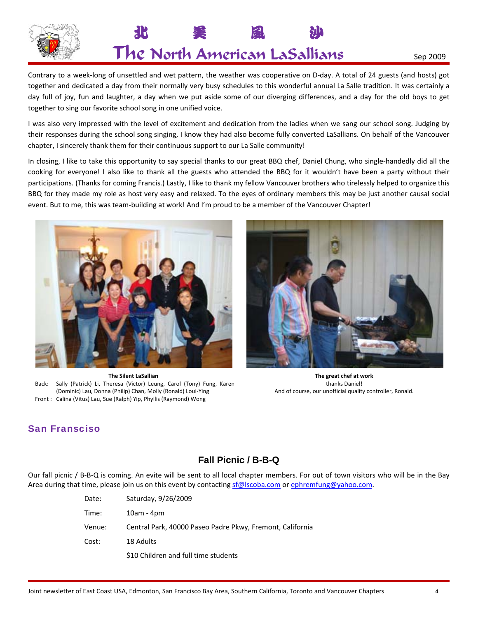

# 北 美 風 沙  $\mathsf{The}$  North American LaSallians  $_{\rm Sep\,2009}$

Contrary to a week‐long of unsettled and wet pattern, the weather was cooperative on D‐day. A total of 24 guests (and hosts) got together and dedicated a day from their normally very busy schedules to this wonderful annual La Salle tradition. It was certainly a day full of joy, fun and laughter, a day when we put aside some of our diverging differences, and a day for the old boys to get together to sing our favorite school song in one unified voice.

I was also very impressed with the level of excitement and dedication from the ladies when we sang our school song. Judging by their responses during the school song singing, I know they had also become fully converted LaSallians. On behalf of the Vancouver chapter, I sincerely thank them for their continuous support to our La Salle community!

In closing, I like to take this opportunity to say special thanks to our great BBQ chef, Daniel Chung, who single‐handedly did all the cooking for everyone! I also like to thank all the guests who attended the BBQ for it wouldn't have been a party without their participations. (Thanks for coming Francis.) Lastly, I like to thank my fellow Vancouver brothers who tirelessly helped to organize this BBQ for they made my role as host very easy and relaxed. To the eyes of ordinary members this may be just another causal social event. But to me, this was team‐building at work! And I'm proud to be a member of the Vancouver Chapter!



**The Silent LaSallian** Back: Sally (Patrick) Li, Theresa (Victor) Leung, Carol (Tony) Fung, Karen (Dominic) Lau, Donna (Philip) Chan, Molly (Ronald) Loui‐Ying Front : Calina (Vitus) Lau, Sue (Ralph) Yip, Phyllis (Raymond) Wong



**The great chef at work** thanks Daniel! And of course, our unofficial quality controller, Ronald.

# San Fransciso

# **Fall Picnic / B-B-Q**

Our fall picnic / B‐B‐Q is coming. An evite will be sent to all local chapter members. For out of town visitors who will be in the Bay Area during that time, please join us on this event by contacting sf@lscoba.com or ephremfung@yahoo.com.

| Date:  | Saturday, 9/26/2009                                       |
|--------|-----------------------------------------------------------|
| Time:  | $10am - 4pm$                                              |
| Venue: | Central Park, 40000 Paseo Padre Pkwy, Fremont, California |
| Cost:  | 18 Adults                                                 |
|        | \$10 Children and full time students                      |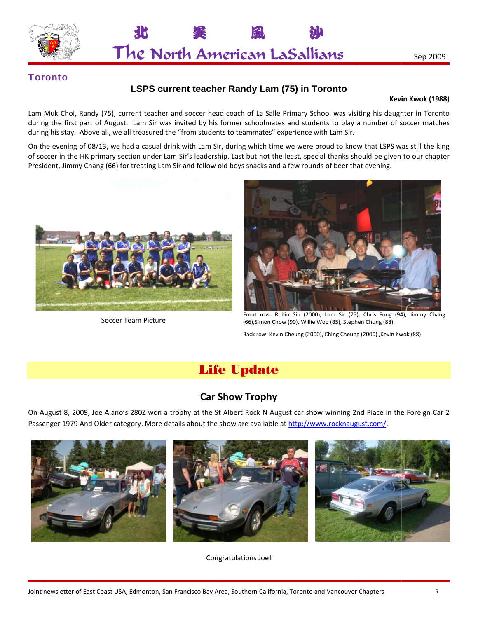



### **Toronto**

## **LSPS current teacher Randy Lam (75) in Toronto**

### **Kevi in Kwok (1988 8)**

Lam Muk Choi, Randy (75), current teacher and soccer head coach of La Salle Primary School was visiting his daughter in Toronto Lam Muk Choi, Randy (75), current teacher and soccer head coach of La Salle Primary School was visiting his daughter in Toronto<br>during the first part of August. Lam Sir was invited by his former schoolmates and students to during his stay. Above all, we all treasured the "from students to teammates" experience with Lam Sir.

On the evening of 08/13, we had a casual drink with Lam Sir, during which time we were proud to know that LSPS was still the king<br>of soccer in the HK primary section under Lam Sir's leadership. Last but not the least, spec of soccer in the HK primary section under Lam Sir's leadership. Last but not the least, special thanks should be given to our chapte President, Jimmy Chang (66) for treating Lam Sir and fellow old boys snacks and a few rounds of beer that evening.



Soccer Team Picture



Front row: Robin Siu (2000), Lam Sir (75), Chris Fong (94), Jimmy Chang (66),Simon n Chow (90), Willi e Woo (85), Steph hen Chung (88)

Back row: Kevin Cheung (2000), Ching Cheung (2000), Kevin Kwok (88)

# **Life Update**

# **Car S how Troph hy**

On August 8, 2009, Joe Alano's 280Z won a trophy at the St Albert Rock N August car show winning 2nd Place in the Foreign Car 2 Passenger 1979 And Older category. More details about the show are available at http://www.rocknaugust.com/.



Congratulations Joe!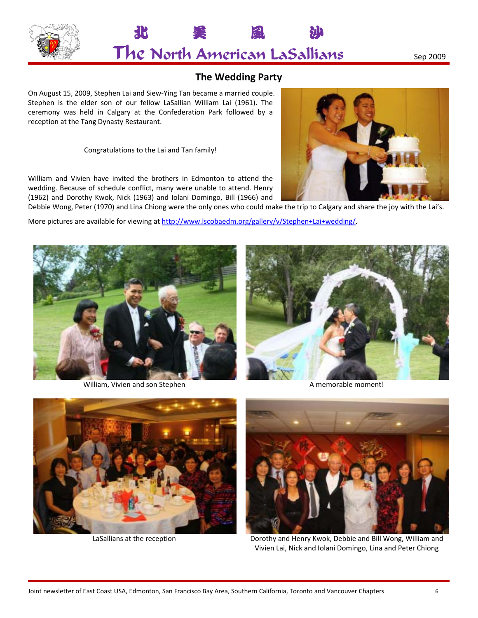



# **The Wedding Party**

On August 15, 2009, Stephen Lai and Siew‐Ying Tan became a married couple. Stephen is the elder son of our fellow LaSallian William Lai (1961). The ceremony was held in Calgary at the Confederation Park followed by a reception at the Tang Dynasty Restaurant.

Congratulations to the Lai and Tan family!

William and Vivien have invited the brothers in Edmonton to attend the wedding. Because of schedule conflict, many were unable to attend. Henry (1962) and Dorothy Kwok, Nick (1963) and Iolani Domingo, Bill (1966) and



Debbie Wong, Peter (1970) and Lina Chiong were the only ones who could make the trip to Calgary and share the joy with the Lai's.

More pictures are available for viewing at http://www.lscobaedm.org/gallery/v/Stephen+Lai+wedding/.



William, Vivien and son Stephen A memorable moment!







LaSallians at the reception **Dorothy and Henry Kwok, Debbie and Bill Wong, William and** Vivien Lai, Nick and Iolani Domingo, Lina and Peter Chiong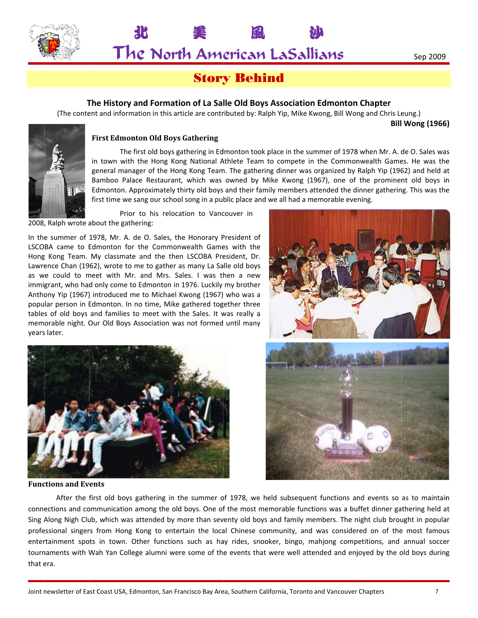

The North American LaSallians

美

# **Story Behind**

### **T The History a and Format ion of La Sa lle Old Boys s Association n Edmonton n Chapter**

(The content and information in this article are contributed by: Ralph Yip, Mike Kwong, Bill Wong and Chris Leung.)

風

Ւ

**Bill Wong (1966 6)**



### **First Edmon nton Old Boys s Gathering**

Δ

The first old boys gathering in Edmonton took place in the summer of 1978 when Mr. A. de O. Sales was in town with the Hong Kong National Athlete Team to compete in the Commonwealth Games. He was the in town with the Hong Kong National Athlete Team to compete in the Commonwealth Games. He was the<br>general manager of the Hong Kong Team. The gathering dinner was organized by Ralph Yip (1962) and held at Bamboo Palace Restaurant, which was owned by Mike Kwong (1967), one of the prominent old boys in Edmonton. Approximately thirty old boys and their family members attended the dinner gathering. This was the first time we sang our school song in a public place and we all had a memorable evening.

Prior to his relocation to Vancouver in

2008, Ralph wrote about the gathering:

In the summer of 1978, Mr. A. de O. Sales, the Honorary President of LSCOBA came to Edmonton for the Commonwealth Games with the Hong Kong Team. My classmate and the then LSCOBA President, Dr. Lawrence Chan (1962), wrote to me to gather as many La Salle old boys as we could to meet with Mr. and Mrs. Sales. I was then a new immigrant, who had only come to Edmonton in 1976. Luckily my brother Anthony Yip (1967) introduced me to Michael Kwong (1967) who was a popular person in Edmonton. In no time, Mike gathered together three tables of old boys and families to meet with the Sales. It was really a memorable night. Our Old Boys Association was not formed until many years s later.





**Functions** and **Events** 



connections and communication among the old boys. One of the most memorable functions was a buffet dinner gathering held a Sing Along Nigh Club, which was attended by more than seventy old boys and family members. The night club brought in popular professional singers from Hong Kong to entertain the local Chinese community, and was considered on of the most famous entertainment spots in town. Other functions such as hay rides, snooker, bingo, mahjong competitions, and annual soccer tournaments with Wah Yan College alumni were some of the events that were well attended and enjoyed by the old boys during that era. After the first old boys gathering in the summer of 1978, we held subsequent functions and events so as to maintain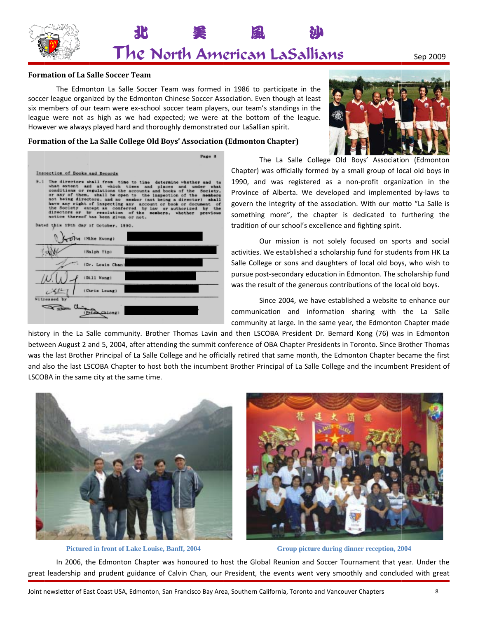

### **Form mation of La S Salle Soccer T Team**

نعلة حڪمت

(Personal)

soccer league organized by the Edmonton Chinese Soccer Association. Even though at least six members of our team were ex-school soccer team players, our team's standings in the league were not as high as we had expected; we were at the bottom of the league. However we always played hard and thoroughly demonstrated our LaSallian spirit. The Edmonton La Salle Soccer Team was formed in 1986 to participate in the



Sep 2009

### **Form mation of the La Salle Colle ege Old Boys' ' Association (Edmonton C Chapter)**

|                                                                                                                                                                                                                                                                      | <b>Page 8</b> |    |                                                                                                                                                                                                   |
|----------------------------------------------------------------------------------------------------------------------------------------------------------------------------------------------------------------------------------------------------------------------|---------------|----|---------------------------------------------------------------------------------------------------------------------------------------------------------------------------------------------------|
| Inspection of Books and Records                                                                                                                                                                                                                                      |               | C  |                                                                                                                                                                                                   |
| 9.1 The directors shall from time to time determine whether and to<br>what extent and at which times and places and under what<br>conditions or regulations the accounts and books of the Society,<br>or any of them. shall be open to the inspection of the members |               |    |                                                                                                                                                                                                   |
|                                                                                                                                                                                                                                                                      |               |    | not being directors, and no member (not being a director) shall<br>have any right of inspecting any account or book or document of<br>the Society except as conferred by law or authorized by the |
| directors or by resolution of the members, whether previous<br>notice thereof has been given or not.                                                                                                                                                                 |               | S) |                                                                                                                                                                                                   |
| Dated this 19th day of October, 1990.                                                                                                                                                                                                                                |               | tı |                                                                                                                                                                                                   |
| DIM (Mike Kwong)                                                                                                                                                                                                                                                     |               |    |                                                                                                                                                                                                   |
| (Baloh Yip)                                                                                                                                                                                                                                                          |               | a  |                                                                                                                                                                                                   |
| (Dr. Louis Chan)                                                                                                                                                                                                                                                     |               | S  |                                                                                                                                                                                                   |
| (Bill Wong)                                                                                                                                                                                                                                                          |               | р  |                                                                                                                                                                                                   |
| (Chris Leung)                                                                                                                                                                                                                                                        |               | w  |                                                                                                                                                                                                   |
| Witnessed by                                                                                                                                                                                                                                                         |               |    |                                                                                                                                                                                                   |

The La Salle College Old Boys' Association (Edmonton Chapter) was officially formed by a small group of local old boys in 1990, and was registered as a non-profit organization in the Province of Alberta. We developed and implemented by-laws to govern the integrity of the association. With our motto "La Salle i something more", the chapter is dedicated to furthering the tradition of our school's e xcellence and fighting spirit. n<br>neo<br>is ie<br>al

Our mission is not solely focused on sports and socia activities. We established a scholarship fund for students from HK La Salle College or sons and daughters of local old boys, who wish to pursue post-secondary education in Edmonton. The scholarship fund was the result of the generous contributions of the local old boys. La<br>to<br>ur

Since 2004, we have established a website to enhance ou communica tion and in formation sh haring with the La Salle community at large. In the same year, the Edmonton Chapter made

history in the La Salle community. Brother Thomas Lavin and then LSCOBA President Dr. Bernard Kong (76) was in Edmonton between August 2 and 5, 2004, after attending the summit conference of OBA Chapter Presidents in Toronto. Since Brother Thoma was the last Brother Principal of La Salle College and he officially retired that same month, the Edmonton Chapter became the first and also the last LSCOBA Chapter to host both the incumbent Brother Principal of La Salle College and the incumbent President of LSCOBA in the same city at the same time. e<br>e<br>ns



Pictured in front of Lake Louise, Banff, 2004



**Group picture during dinner reception, 2004** 

In 2006, the Edmonton Chapter was honoured to host the Global Reunion and Soccer Tournament that year. Under the<br>great leadership and prudent guidance of Calvin Chan, our President, the events went very smoothly and conclu In 2006, the Edmonton Chapter was honoured to host the Global Reunion and Soccer Tournament that year. Under the